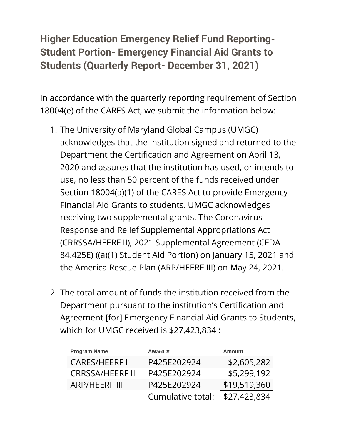## **Higher Education Emergency Relief Fund Reporting-Student Portion- Emergency Financial Aid Grants to Students (Quarterly Report- December 31, 2021)**

In accordance with the quarterly reporting requirement of Section 18004(e) of the CARES Act, we submit the information below:

- 1. The University of Maryland Global Campus (UMGC) acknowledges that the institution signed and returned to the Department the Certification and Agreement on April 13, 2020 and assures that the institution has used, or intends to use, no less than 50 percent of the funds received under Section 18004(a)(1) of the CARES Act to provide Emergency Financial Aid Grants to students. UMGC acknowledges receiving two supplemental grants. The Coronavirus Response and Relief Supplemental Appropriations Act (CRRSSA/HEERF II), 2021 Supplemental Agreement (CFDA 84.425E) ((a)(1) Student Aid Portion) on January 15, 2021 and the America Rescue Plan (ARP/HEERF III) on May 24, 2021.
- 2. The total amount of funds the institution received from the Department pursuant to the institution's Certification and Agreement [for] Emergency Financial Aid Grants to Students, which for UMGC received is \$27,423,834 :

| <b>Program Name</b>    | Award #           | <b>Amount</b> |
|------------------------|-------------------|---------------|
| <b>CARES/HEERFI</b>    | P425E202924       | \$2,605,282   |
| <b>CRRSSA/HEERF II</b> | P425E202924       | \$5,299,192   |
| <b>ARP/HEERF III</b>   | P425E202924       | \$19,519,360  |
|                        | Cumulative total: | \$27,423,834  |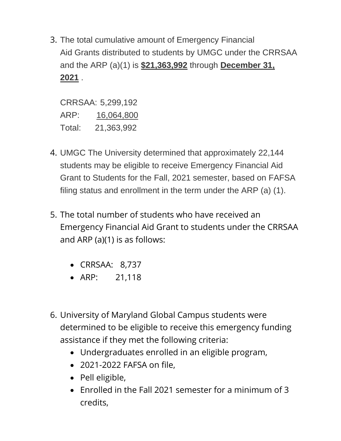3. The total cumulative amount of Emergency Financial Aid Grants distributed to students by UMGC under the CRRSAA and the ARP (a)(1) is **\$21,363,992** through **December 31, 2021** .

CRRSAA: 5,299,192 ARP: 16,064,800 Total: 21,363,992

- 4. UMGC The University determined that approximately 22,144 students may be eligible to receive Emergency Financial Aid Grant to Students for the Fall, 2021 semester, based on FAFSA filing status and enrollment in the term under the ARP (a) (1).
- 5. The total number of students who have received an Emergency Financial Aid Grant to students under the CRRSAA and ARP (a)(1) is as follows:
	- CRRSAA: 8,737
	- ARP: 21,118
- 6. University of Maryland Global Campus students were determined to be eligible to receive this emergency funding assistance if they met the following criteria:
	- Undergraduates enrolled in an eligible program,
	- 2021-2022 FAFSA on file,
	- Pell eligible,
	- Enrolled in the Fall 2021 semester for a minimum of 3 credits,